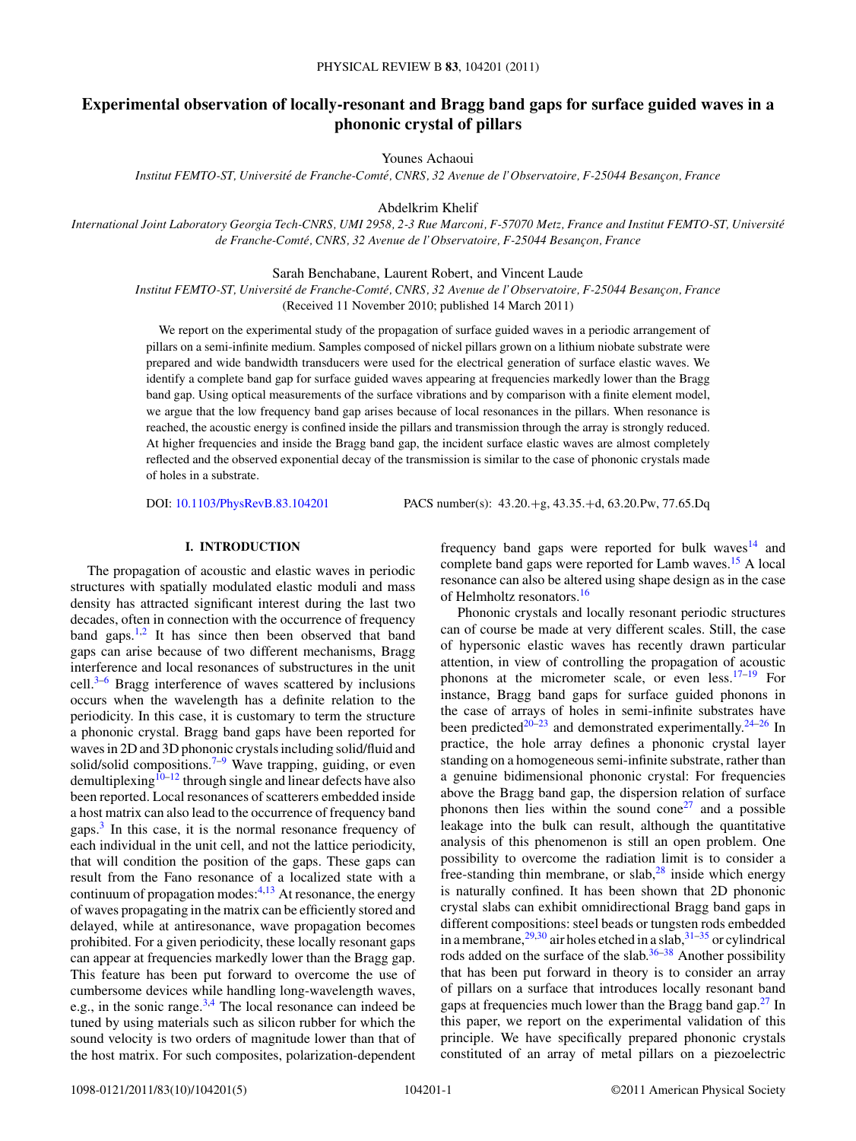# **Experimental observation of locally-resonant and Bragg band gaps for surface guided waves in a phononic crystal of pillars**

Younes Achaoui

*Institut FEMTO-ST, Université de Franche-Comté, CNRS, 32 Avenue de l'Observatoire, F-25044 Besançon, France* 

Abdelkrim Khelif

*International Joint Laboratory Georgia Tech-CNRS, UMI 2958, 2-3 Rue Marconi, F-57070 Metz, France and Institut FEMTO-ST, Universite´ de Franche-Comté, CNRS, 32 Avenue de l'Observatoire, F-25044 Besançon, France* 

Sarah Benchabane, Laurent Robert, and Vincent Laude

*Institut FEMTO-ST, Université de Franche-Comté, CNRS, 32 Avenue de l'Observatoire, F-25044 Besancon, France* (Received 11 November 2010; published 14 March 2011)

We report on the experimental study of the propagation of surface guided waves in a periodic arrangement of pillars on a semi-infinite medium. Samples composed of nickel pillars grown on a lithium niobate substrate were prepared and wide bandwidth transducers were used for the electrical generation of surface elastic waves. We identify a complete band gap for surface guided waves appearing at frequencies markedly lower than the Bragg band gap. Using optical measurements of the surface vibrations and by comparison with a finite element model, we argue that the low frequency band gap arises because of local resonances in the pillars. When resonance is reached, the acoustic energy is confined inside the pillars and transmission through the array is strongly reduced. At higher frequencies and inside the Bragg band gap, the incident surface elastic waves are almost completely reflected and the observed exponential decay of the transmission is similar to the case of phononic crystals made of holes in a substrate.

DOI: [10.1103/PhysRevB.83.104201](http://dx.doi.org/10.1103/PhysRevB.83.104201) PACS number(s): 43*.*20*.*+g, 43*.*35*.*+d, 63*.*20*.*Pw, 77*.*65*.*Dq

#### **I. INTRODUCTION**

The propagation of acoustic and elastic waves in periodic structures with spatially modulated elastic moduli and mass density has attracted significant interest during the last two decades, often in connection with the occurrence of frequency band gaps.<sup>[1,2](#page-4-0)</sup> It has since then been observed that band gaps can arise because of two different mechanisms, Bragg interference and local resonances of substructures in the unit cell. $3-6$  Bragg interference of waves scattered by inclusions occurs when the wavelength has a definite relation to the periodicity. In this case, it is customary to term the structure a phononic crystal. Bragg band gaps have been reported for waves in 2D and 3D phononic crystals including solid/fluid and solid/solid compositions.<sup>7–9</sup> Wave trapping, guiding, or even demultiplexing $10^{-12}$  through single and linear defects have also been reported. Local resonances of scatterers embedded inside a host matrix can also lead to the occurrence of frequency band gaps[.3](#page-4-0) In this case, it is the normal resonance frequency of each individual in the unit cell, and not the lattice periodicity, that will condition the position of the gaps. These gaps can result from the Fano resonance of a localized state with a continuum of propagation modes: $4,13$  At resonance, the energy of waves propagating in the matrix can be efficiently stored and delayed, while at antiresonance, wave propagation becomes prohibited. For a given periodicity, these locally resonant gaps can appear at frequencies markedly lower than the Bragg gap. This feature has been put forward to overcome the use of cumbersome devices while handling long-wavelength waves, e.g., in the sonic range. $3,4$  The local resonance can indeed be tuned by using materials such as silicon rubber for which the sound velocity is two orders of magnitude lower than that of the host matrix. For such composites, polarization-dependent

frequency band gaps were reported for bulk waves<sup>[14](#page-4-0)</sup> and complete band gaps were reported for Lamb waves[.15](#page-4-0) A local resonance can also be altered using shape design as in the case of Helmholtz resonators.<sup>[16](#page-4-0)</sup>

Phononic crystals and locally resonant periodic structures can of course be made at very different scales. Still, the case of hypersonic elastic waves has recently drawn particular attention, in view of controlling the propagation of acoustic phonons at the micrometer scale, or even less. $17-19$  For instance, Bragg band gaps for surface guided phonons in the case of arrays of holes in semi-infinite substrates have been predicted<sup>20–23</sup> and demonstrated experimentally.<sup>[24–26](#page-4-0)</sup> In practice, the hole array defines a phononic crystal layer standing on a homogeneous semi-infinite substrate, rather than a genuine bidimensional phononic crystal: For frequencies above the Bragg band gap, the dispersion relation of surface phonons then lies within the sound cone<sup>27</sup> and a possible leakage into the bulk can result, although the quantitative analysis of this phenomenon is still an open problem. One possibility to overcome the radiation limit is to consider a free-standing thin membrane, or slab, $28$  inside which energy is naturally confined. It has been shown that 2D phononic crystal slabs can exhibit omnidirectional Bragg band gaps in different compositions: steel beads or tungsten rods embedded in a membrane,  $29,30$  air holes etched in a slab,  $31-35$  or cylindrical rods added on the surface of the slab. $36-38$  Another possibility that has been put forward in theory is to consider an array of pillars on a surface that introduces locally resonant band gaps at frequencies much lower than the Bragg band gap. $27 \text{ In}$  $27 \text{ In}$ this paper, we report on the experimental validation of this principle. We have specifically prepared phononic crystals constituted of an array of metal pillars on a piezoelectric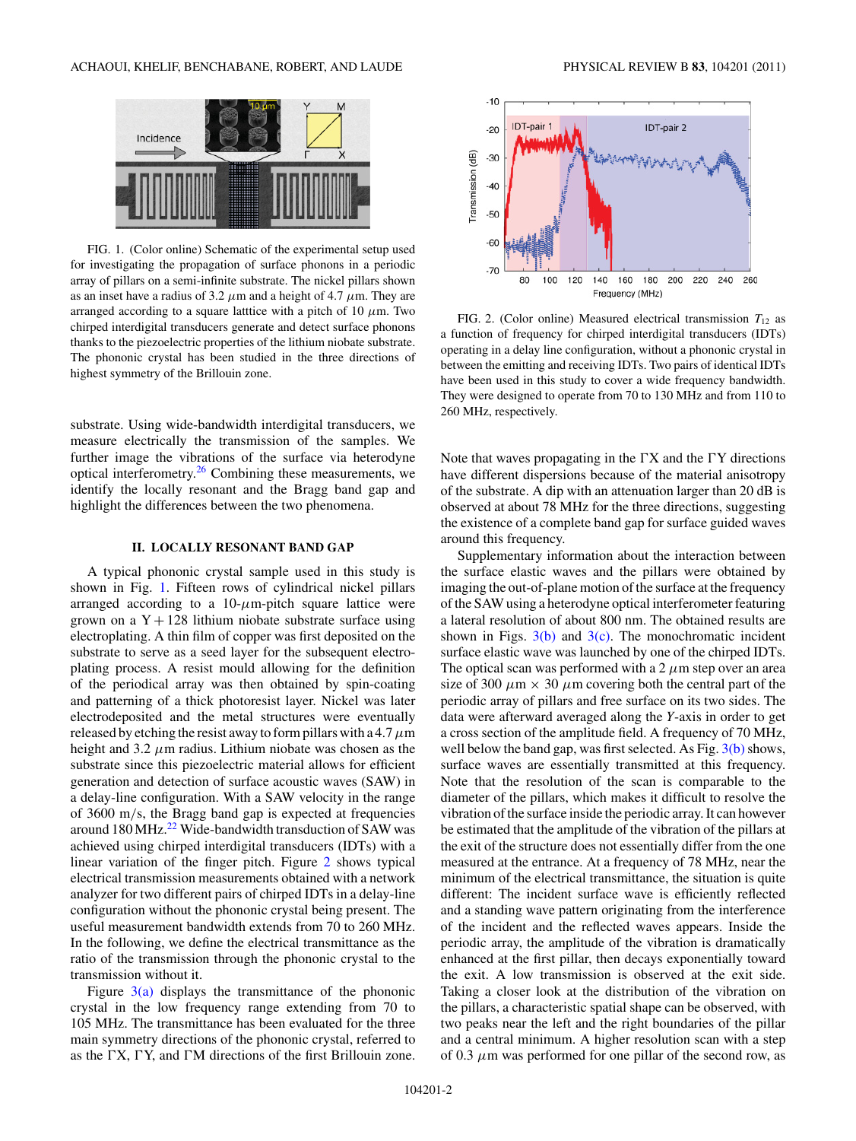

FIG. 1. (Color online) Schematic of the experimental setup used for investigating the propagation of surface phonons in a periodic array of pillars on a semi-infinite substrate. The nickel pillars shown as an inset have a radius of 3.2  $\mu$ m and a height of 4.7  $\mu$ m. They are arranged according to a square latttice with a pitch of 10  $\mu$ m. Two chirped interdigital transducers generate and detect surface phonons thanks to the piezoelectric properties of the lithium niobate substrate. The phononic crystal has been studied in the three directions of highest symmetry of the Brillouin zone.

substrate. Using wide-bandwidth interdigital transducers, we measure electrically the transmission of the samples. We further image the vibrations of the surface via heterodyne optical interferometry.[26](#page-4-0) Combining these measurements, we identify the locally resonant and the Bragg band gap and highlight the differences between the two phenomena.

#### **II. LOCALLY RESONANT BAND GAP**

A typical phononic crystal sample used in this study is shown in Fig. 1. Fifteen rows of cylindrical nickel pillars arranged according to a  $10$ - $\mu$ m-pitch square lattice were grown on a  $Y + 128$  lithium niobate substrate surface using electroplating. A thin film of copper was first deposited on the substrate to serve as a seed layer for the subsequent electroplating process. A resist mould allowing for the definition of the periodical array was then obtained by spin-coating and patterning of a thick photoresist layer. Nickel was later electrodeposited and the metal structures were eventually released by etching the resist away to form pillars with a 4.7  $\mu$ m height and 3.2  $\mu$ m radius. Lithium niobate was chosen as the substrate since this piezoelectric material allows for efficient generation and detection of surface acoustic waves (SAW) in a delay-line configuration. With a SAW velocity in the range of 3600 m*/*s, the Bragg band gap is expected at frequencies around 180 MHz.<sup>[22](#page-4-0)</sup> Wide-bandwidth transduction of SAW was achieved using chirped interdigital transducers (IDTs) with a linear variation of the finger pitch. Figure 2 shows typical electrical transmission measurements obtained with a network analyzer for two different pairs of chirped IDTs in a delay-line configuration without the phononic crystal being present. The useful measurement bandwidth extends from 70 to 260 MHz. In the following, we define the electrical transmittance as the ratio of the transmission through the phononic crystal to the transmission without it.

Figure  $3(a)$  displays the transmittance of the phononic crystal in the low frequency range extending from 70 to 105 MHz. The transmittance has been evaluated for the three main symmetry directions of the phononic crystal, referred to as the  $\Gamma X$ ,  $\Gamma Y$ , and  $\Gamma M$  directions of the first Brillouin zone.



FIG. 2. (Color online) Measured electrical transmission  $T_{12}$  as a function of frequency for chirped interdigital transducers (IDTs) operating in a delay line configuration, without a phononic crystal in between the emitting and receiving IDTs. Two pairs of identical IDTs have been used in this study to cover a wide frequency bandwidth. They were designed to operate from 70 to 130 MHz and from 110 to 260 MHz, respectively.

Note that waves propagating in the  $\Gamma X$  and the  $\Gamma Y$  directions have different dispersions because of the material anisotropy of the substrate. A dip with an attenuation larger than 20 dB is observed at about 78 MHz for the three directions, suggesting the existence of a complete band gap for surface guided waves around this frequency.

Supplementary information about the interaction between the surface elastic waves and the pillars were obtained by imaging the out-of-plane motion of the surface at the frequency of the SAW using a heterodyne optical interferometer featuring a lateral resolution of about 800 nm. The obtained results are shown in Figs.  $3(b)$  and  $3(c)$ . The monochromatic incident surface elastic wave was launched by one of the chirped IDTs. The optical scan was performed with a  $2 \mu m$  step over an area size of 300  $\mu$ m  $\times$  30  $\mu$ m covering both the central part of the periodic array of pillars and free surface on its two sides. The data were afterward averaged along the *Y*-axis in order to get a cross section of the amplitude field. A frequency of 70 MHz, well below the band gap, was first selected. As Fig.  $3(b)$  shows, surface waves are essentially transmitted at this frequency. Note that the resolution of the scan is comparable to the diameter of the pillars, which makes it difficult to resolve the vibration of the surface inside the periodic array. It can however be estimated that the amplitude of the vibration of the pillars at the exit of the structure does not essentially differ from the one measured at the entrance. At a frequency of 78 MHz, near the minimum of the electrical transmittance, the situation is quite different: The incident surface wave is efficiently reflected and a standing wave pattern originating from the interference of the incident and the reflected waves appears. Inside the periodic array, the amplitude of the vibration is dramatically enhanced at the first pillar, then decays exponentially toward the exit. A low transmission is observed at the exit side. Taking a closer look at the distribution of the vibration on the pillars, a characteristic spatial shape can be observed, with two peaks near the left and the right boundaries of the pillar and a central minimum. A higher resolution scan with a step of  $0.3 \mu$ m was performed for one pillar of the second row, as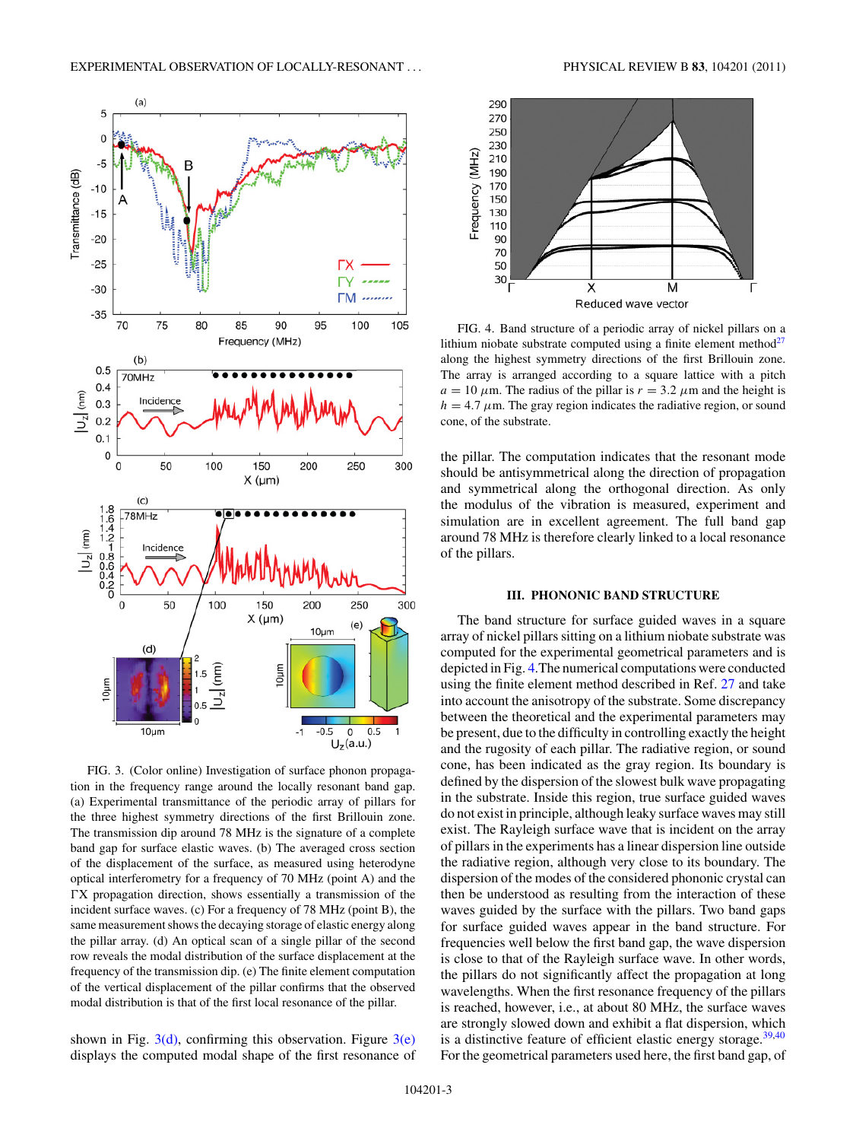<span id="page-2-0"></span>

FIG. 3. (Color online) Investigation of surface phonon propagation in the frequency range around the locally resonant band gap. (a) Experimental transmittance of the periodic array of pillars for the three highest symmetry directions of the first Brillouin zone. The transmission dip around 78 MHz is the signature of a complete band gap for surface elastic waves. (b) The averaged cross section of the displacement of the surface, as measured using heterodyne optical interferometry for a frequency of 70 MHz (point A) and the  $\Gamma X$  propagation direction, shows essentially a transmission of the incident surface waves. (c) For a frequency of 78 MHz (point B), the same measurement shows the decaying storage of elastic energy along the pillar array. (d) An optical scan of a single pillar of the second row reveals the modal distribution of the surface displacement at the frequency of the transmission dip. (e) The finite element computation of the vertical displacement of the pillar confirms that the observed modal distribution is that of the first local resonance of the pillar.

shown in Fig.  $3(d)$ , confirming this observation. Figure  $3(e)$ displays the computed modal shape of the first resonance of



FIG. 4. Band structure of a periodic array of nickel pillars on a lithium niobate substrate computed using a finite element method $27$ along the highest symmetry directions of the first Brillouin zone. The array is arranged according to a square lattice with a pitch  $a = 10 \ \mu \text{m}$ . The radius of the pillar is  $r = 3.2 \ \mu \text{m}$  and the height is  $h = 4.7 \mu$ m. The gray region indicates the radiative region, or sound cone, of the substrate.

the pillar. The computation indicates that the resonant mode should be antisymmetrical along the direction of propagation and symmetrical along the orthogonal direction. As only the modulus of the vibration is measured, experiment and simulation are in excellent agreement. The full band gap around 78 MHz is therefore clearly linked to a local resonance of the pillars.

# **III. PHONONIC BAND STRUCTURE**

The band structure for surface guided waves in a square array of nickel pillars sitting on a lithium niobate substrate was computed for the experimental geometrical parameters and is depicted in Fig. 4.The numerical computations were conducted using the finite element method described in Ref. [27](#page-4-0) and take into account the anisotropy of the substrate. Some discrepancy between the theoretical and the experimental parameters may be present, due to the difficulty in controlling exactly the height and the rugosity of each pillar. The radiative region, or sound cone, has been indicated as the gray region. Its boundary is defined by the dispersion of the slowest bulk wave propagating in the substrate. Inside this region, true surface guided waves do not exist in principle, although leaky surface waves may still exist. The Rayleigh surface wave that is incident on the array of pillars in the experiments has a linear dispersion line outside the radiative region, although very close to its boundary. The dispersion of the modes of the considered phononic crystal can then be understood as resulting from the interaction of these waves guided by the surface with the pillars. Two band gaps for surface guided waves appear in the band structure. For frequencies well below the first band gap, the wave dispersion is close to that of the Rayleigh surface wave. In other words, the pillars do not significantly affect the propagation at long wavelengths. When the first resonance frequency of the pillars is reached, however, i.e., at about 80 MHz, the surface waves are strongly slowed down and exhibit a flat dispersion, which is a distinctive feature of efficient elastic energy storage.  $39,40$ For the geometrical parameters used here, the first band gap, of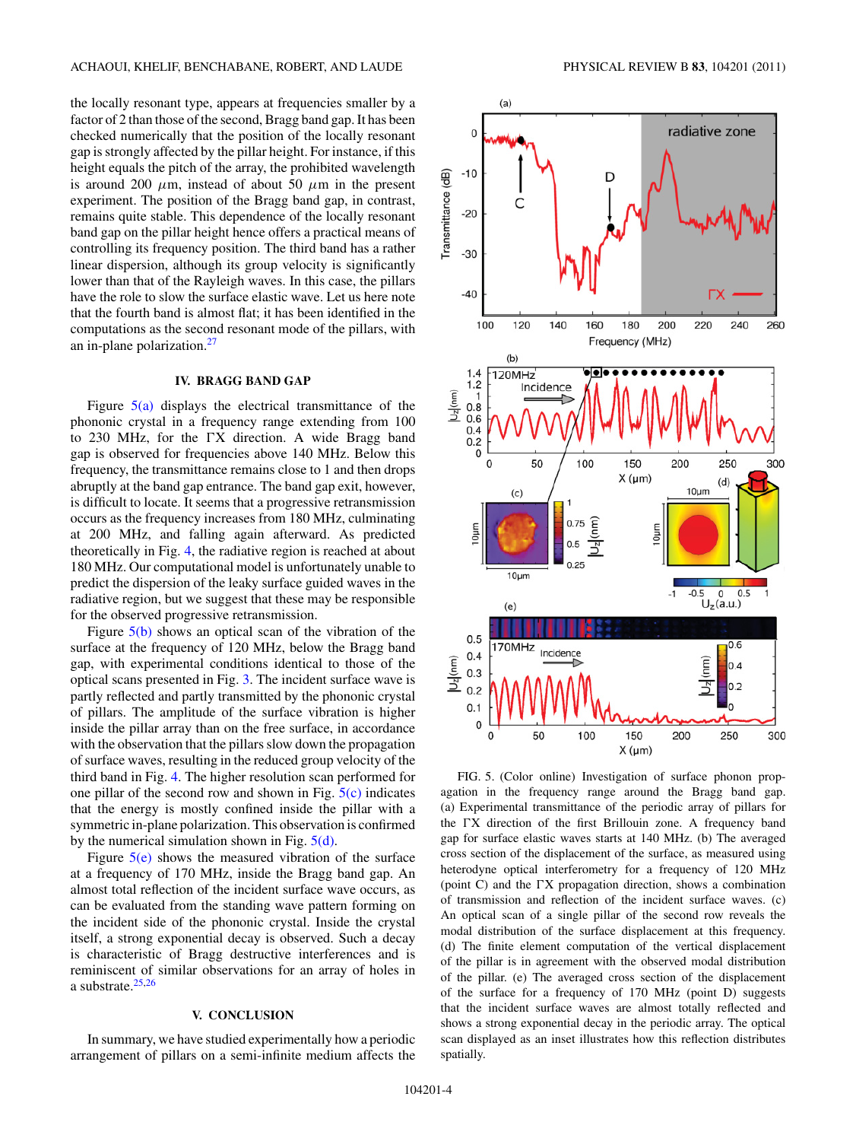the locally resonant type, appears at frequencies smaller by a factor of 2 than those of the second, Bragg band gap. It has been checked numerically that the position of the locally resonant gap is strongly affected by the pillar height. For instance, if this height equals the pitch of the array, the prohibited wavelength is around 200  $\mu$ m, instead of about 50  $\mu$ m in the present experiment. The position of the Bragg band gap, in contrast, remains quite stable. This dependence of the locally resonant band gap on the pillar height hence offers a practical means of controlling its frequency position. The third band has a rather linear dispersion, although its group velocity is significantly lower than that of the Rayleigh waves. In this case, the pillars have the role to slow the surface elastic wave. Let us here note that the fourth band is almost flat; it has been identified in the computations as the second resonant mode of the pillars, with an in-plane polarization. $27$ 

# **IV. BRAGG BAND GAP**

Figure  $5(a)$  displays the electrical transmittance of the phononic crystal in a frequency range extending from 100 to 230 MHz, for the  $\Gamma X$  direction. A wide Bragg band gap is observed for frequencies above 140 MHz. Below this frequency, the transmittance remains close to 1 and then drops abruptly at the band gap entrance. The band gap exit, however, is difficult to locate. It seems that a progressive retransmission occurs as the frequency increases from 180 MHz, culminating at 200 MHz, and falling again afterward. As predicted theoretically in Fig. [4,](#page-2-0) the radiative region is reached at about 180 MHz. Our computational model is unfortunately unable to predict the dispersion of the leaky surface guided waves in the radiative region, but we suggest that these may be responsible for the observed progressive retransmission.

Figure 5(b) shows an optical scan of the vibration of the surface at the frequency of 120 MHz, below the Bragg band gap, with experimental conditions identical to those of the optical scans presented in Fig. [3.](#page-2-0) The incident surface wave is partly reflected and partly transmitted by the phononic crystal of pillars. The amplitude of the surface vibration is higher inside the pillar array than on the free surface, in accordance with the observation that the pillars slow down the propagation of surface waves, resulting in the reduced group velocity of the third band in Fig. [4.](#page-2-0) The higher resolution scan performed for one pillar of the second row and shown in Fig.  $5(c)$  indicates that the energy is mostly confined inside the pillar with a symmetric in-plane polarization. This observation is confirmed by the numerical simulation shown in Fig.  $5(d)$ .

Figure  $5(e)$  shows the measured vibration of the surface at a frequency of 170 MHz, inside the Bragg band gap. An almost total reflection of the incident surface wave occurs, as can be evaluated from the standing wave pattern forming on the incident side of the phononic crystal. Inside the crystal itself, a strong exponential decay is observed. Such a decay is characteristic of Bragg destructive interferences and is reminiscent of similar observations for an array of holes in a substrate. $25,26$ 

#### **V. CONCLUSION**

In summary, we have studied experimentally how a periodic arrangement of pillars on a semi-infinite medium affects the



FIG. 5. (Color online) Investigation of surface phonon propagation in the frequency range around the Bragg band gap. (a) Experimental transmittance of the periodic array of pillars for the  $\Gamma X$  direction of the first Brillouin zone. A frequency band gap for surface elastic waves starts at 140 MHz. (b) The averaged cross section of the displacement of the surface, as measured using heterodyne optical interferometry for a frequency of 120 MHz (point C) and the  $\Gamma X$  propagation direction, shows a combination of transmission and reflection of the incident surface waves. (c) An optical scan of a single pillar of the second row reveals the modal distribution of the surface displacement at this frequency. (d) The finite element computation of the vertical displacement of the pillar is in agreement with the observed modal distribution of the pillar. (e) The averaged cross section of the displacement of the surface for a frequency of 170 MHz (point D) suggests that the incident surface waves are almost totally reflected and shows a strong exponential decay in the periodic array. The optical scan displayed as an inset illustrates how this reflection distributes spatially.